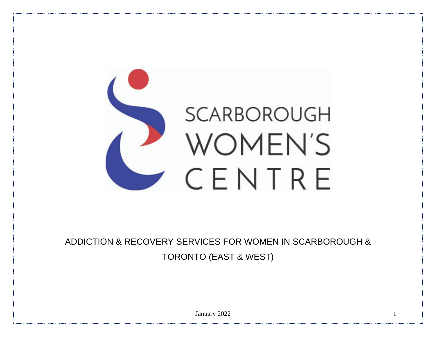

ADDICTION & RECOVERY SERVICES FOR WOMEN IN SCARBOROUGH & TORONTO (EAST & WEST)

January 2022 1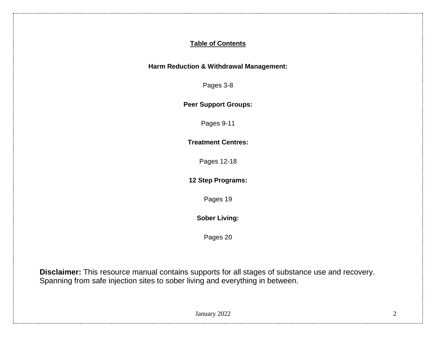### **Table of Contents**

### **Harm Reduction & Withdrawal Management:**

Pages 3-8

**Peer Support Groups:**

Pages 9-11

**Treatment Centres:**

Pages 12-18

**12 Step Programs:**

Pages 19

**Sober Living:**

Pages 20

**Disclaimer:** This resource manual contains supports for all stages of substance use and recovery. Spanning from safe injection sites to sober living and everything in between.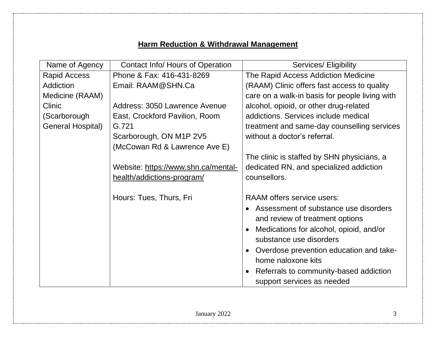# **Harm Reduction & Withdrawal Management**

| Name of Agency           | <b>Contact Info/ Hours of Operation</b> | Services/ Eligibility                          |
|--------------------------|-----------------------------------------|------------------------------------------------|
| Rapid Access             | Phone & Fax: 416-431-8269               | The Rapid Access Addiction Medicine            |
| Addiction                | Email: RAAM@SHN.Ca                      | (RAAM) Clinic offers fast access to quality    |
| Medicine (RAAM)          |                                         | care on a walk-in basis for people living with |
| <b>Clinic</b>            | Address: 3050 Lawrence Avenue           | alcohol, opioid, or other drug-related         |
| (Scarborough             | East, Crockford Pavilion, Room          | addictions. Services include medical           |
| <b>General Hospital)</b> | G.721                                   | treatment and same-day counselling services    |
|                          | Scarborough, ON M1P 2V5                 | without a doctor's referral.                   |
|                          | (McCowan Rd & Lawrence Ave E)           |                                                |
|                          |                                         | The clinic is staffed by SHN physicians, a     |
|                          | Website: https://www.shn.ca/mental-     | dedicated RN, and specialized addiction        |
|                          | health/addictions-program/              | counsellors.                                   |
|                          |                                         |                                                |
|                          | Hours: Tues, Thurs, Fri                 | RAAM offers service users:                     |
|                          |                                         | Assessment of substance use disorders          |
|                          |                                         | and review of treatment options                |
|                          |                                         | Medications for alcohol, opioid, and/or        |
|                          |                                         | substance use disorders                        |
|                          |                                         | Overdose prevention education and take-        |
|                          |                                         | home naloxone kits                             |
|                          |                                         | Referrals to community-based addiction         |
|                          |                                         | support services as needed                     |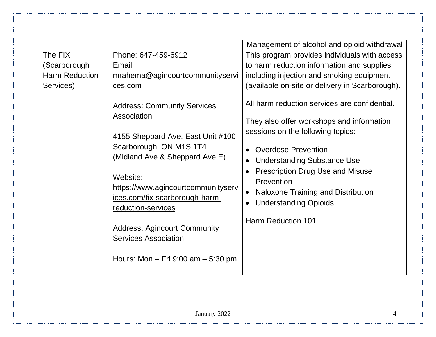|                       |                                                                                                                                                                                                                                                                                                                                                                               | Management of alcohol and opioid withdrawal                                                                                                                                                                                                                                                                                                                                                            |
|-----------------------|-------------------------------------------------------------------------------------------------------------------------------------------------------------------------------------------------------------------------------------------------------------------------------------------------------------------------------------------------------------------------------|--------------------------------------------------------------------------------------------------------------------------------------------------------------------------------------------------------------------------------------------------------------------------------------------------------------------------------------------------------------------------------------------------------|
| The FIX               | Phone: 647-459-6912                                                                                                                                                                                                                                                                                                                                                           | This program provides individuals with access                                                                                                                                                                                                                                                                                                                                                          |
| (Scarborough          | Email:                                                                                                                                                                                                                                                                                                                                                                        | to harm reduction information and supplies                                                                                                                                                                                                                                                                                                                                                             |
| <b>Harm Reduction</b> | mrahema@agincourtcommunityservi                                                                                                                                                                                                                                                                                                                                               | including injection and smoking equipment                                                                                                                                                                                                                                                                                                                                                              |
| Services)             | ces.com                                                                                                                                                                                                                                                                                                                                                                       | (available on-site or delivery in Scarborough).                                                                                                                                                                                                                                                                                                                                                        |
|                       | <b>Address: Community Services</b><br>Association<br>4155 Sheppard Ave. East Unit #100<br>Scarborough, ON M1S 1T4<br>(Midland Ave & Sheppard Ave E)<br>Website:<br>https://www.agincourtcommunityserv<br>ices.com/fix-scarborough-harm-<br>reduction-services<br><b>Address: Agincourt Community</b><br><b>Services Association</b><br>Hours: Mon $-$ Fri 9:00 am $-$ 5:30 pm | All harm reduction services are confidential.<br>They also offer workshops and information<br>sessions on the following topics:<br><b>Overdose Prevention</b><br><b>Understanding Substance Use</b><br>$\bullet$<br><b>Prescription Drug Use and Misuse</b><br>Prevention<br>Naloxone Training and Distribution<br>$\bullet$<br><b>Understanding Opioids</b><br>$\bullet$<br><b>Harm Reduction 101</b> |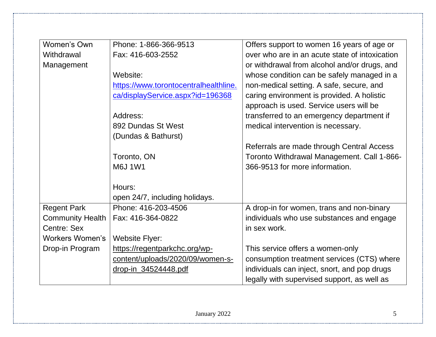| Women's Own             | Phone: 1-866-366-9513                 | Offers support to women 16 years of age or     |
|-------------------------|---------------------------------------|------------------------------------------------|
| Withdrawal              | Fax: 416-603-2552                     | over who are in an acute state of intoxication |
| Management              |                                       | or withdrawal from alcohol and/or drugs, and   |
|                         | Website:                              | whose condition can be safely managed in a     |
|                         | https://www.torontocentralhealthline. | non-medical setting. A safe, secure, and       |
|                         | ca/displayService.aspx?id=196368      | caring environment is provided. A holistic     |
|                         |                                       | approach is used. Service users will be        |
|                         | Address:                              | transferred to an emergency department if      |
|                         | 892 Dundas St West                    | medical intervention is necessary.             |
|                         | (Dundas & Bathurst)                   |                                                |
|                         |                                       | Referrals are made through Central Access      |
|                         | Toronto, ON                           | Toronto Withdrawal Management. Call 1-866-     |
|                         | <b>M6J1W1</b>                         | 366-9513 for more information.                 |
|                         |                                       |                                                |
|                         | Hours:                                |                                                |
|                         | open 24/7, including holidays.        |                                                |
| <b>Regent Park</b>      | Phone: 416-203-4506                   | A drop-in for women, trans and non-binary      |
| <b>Community Health</b> | Fax: 416-364-0822                     | individuals who use substances and engage      |
| Centre: Sex             |                                       | in sex work.                                   |
| <b>Workers Women's</b>  | <b>Website Flyer:</b>                 |                                                |
| Drop-in Program         | https://regentparkchc.org/wp-         | This service offers a women-only               |
|                         | content/uploads/2020/09/women-s-      | consumption treatment services (CTS) where     |
|                         | drop-in 34524448.pdf                  | individuals can inject, snort, and pop drugs   |
|                         |                                       | legally with supervised support, as well as    |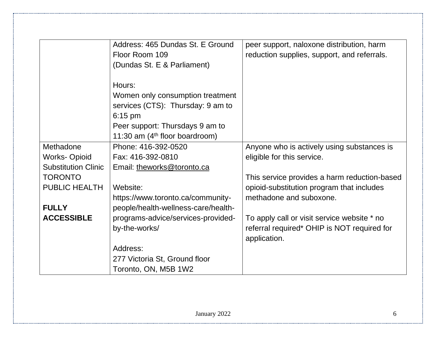|                            | Address: 465 Dundas St. E Ground<br>Floor Room 109<br>(Dundas St. E & Parliament)            | peer support, naloxone distribution, harm<br>reduction supplies, support, and referrals. |
|----------------------------|----------------------------------------------------------------------------------------------|------------------------------------------------------------------------------------------|
|                            | Hours:<br>Women only consumption treatment<br>services (CTS): Thursday: 9 am to<br>$6:15$ pm |                                                                                          |
|                            | Peer support: Thursdays 9 am to<br>11:30 am $(4th$ floor boardroom)                          |                                                                                          |
| Methadone                  | Phone: 416-392-0520                                                                          | Anyone who is actively using substances is                                               |
| <b>Works-Opioid</b>        | Fax: 416-392-0810                                                                            | eligible for this service.                                                               |
| <b>Substitution Clinic</b> | Email: theworks@toronto.ca                                                                   |                                                                                          |
| <b>TORONTO</b>             |                                                                                              | This service provides a harm reduction-based                                             |
| <b>PUBLIC HEALTH</b>       | Website:                                                                                     | opioid-substitution program that includes                                                |
|                            | https://www.toronto.ca/community-                                                            | methadone and suboxone.                                                                  |
| <b>FULLY</b>               | people/health-wellness-care/health-                                                          |                                                                                          |
| <b>ACCESSIBLE</b>          | programs-advice/services-provided-                                                           | To apply call or visit service website * no                                              |
|                            | by-the-works/                                                                                | referral required* OHIP is NOT required for                                              |
|                            |                                                                                              | application.                                                                             |
|                            | Address:                                                                                     |                                                                                          |
|                            | 277 Victoria St, Ground floor                                                                |                                                                                          |
|                            | Toronto, ON, M5B 1W2                                                                         |                                                                                          |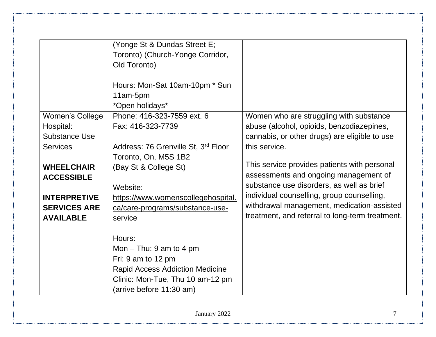|                      | (Yonge St & Dundas Street E;<br>Toronto) (Church-Yonge Corridor,<br>Old Toronto)<br>Hours: Mon-Sat 10am-10pm * Sun<br>11am-5pm<br>*Open holidays*                   |                                                                                    |
|----------------------|---------------------------------------------------------------------------------------------------------------------------------------------------------------------|------------------------------------------------------------------------------------|
| Women's College      | Phone: 416-323-7559 ext. 6                                                                                                                                          | Women who are struggling with substance                                            |
| Hospital:            | Fax: 416-323-7739                                                                                                                                                   | abuse (alcohol, opioids, benzodiazepines,                                          |
| <b>Substance Use</b> |                                                                                                                                                                     | cannabis, or other drugs) are eligible to use                                      |
| <b>Services</b>      | Address: 76 Grenville St, 3rd Floor                                                                                                                                 | this service.                                                                      |
|                      | Toronto, On, M5S 1B2                                                                                                                                                |                                                                                    |
| <b>WHEELCHAIR</b>    | (Bay St & College St)                                                                                                                                               | This service provides patients with personal                                       |
| <b>ACCESSIBLE</b>    |                                                                                                                                                                     | assessments and ongoing management of<br>substance use disorders, as well as brief |
|                      | Website:                                                                                                                                                            | individual counselling, group counselling,                                         |
| <b>INTERPRETIVE</b>  | https://www.womenscollegehospital.                                                                                                                                  | withdrawal management, medication-assisted                                         |
| <b>SERVICES ARE</b>  | ca/care-programs/substance-use-                                                                                                                                     | treatment, and referral to long-term treatment.                                    |
| <b>AVAILABLE</b>     | service                                                                                                                                                             |                                                                                    |
|                      | Hours:<br>Mon $-$ Thu: 9 am to 4 pm<br>Fri: 9 am to 12 pm<br><b>Rapid Access Addiction Medicine</b><br>Clinic: Mon-Tue, Thu 10 am-12 pm<br>(arrive before 11:30 am) |                                                                                    |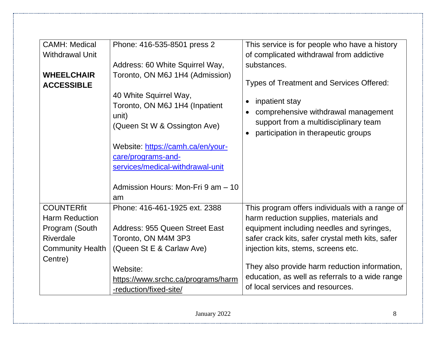| <b>CAMH: Medical</b><br><b>Withdrawal Unit</b> | Phone: 416-535-8501 press 2                                                                       | This service is for people who have a history<br>of complicated withdrawal from addictive                                                          |
|------------------------------------------------|---------------------------------------------------------------------------------------------------|----------------------------------------------------------------------------------------------------------------------------------------------------|
|                                                | Address: 60 White Squirrel Way,                                                                   | substances.                                                                                                                                        |
| <b>WHEELCHAIR</b><br><b>ACCESSIBLE</b>         | Toronto, ON M6J 1H4 (Admission)                                                                   | <b>Types of Treatment and Services Offered:</b>                                                                                                    |
|                                                | 40 White Squirrel Way,<br>Toronto, ON M6J 1H4 (Inpatient<br>unit)<br>(Queen St W & Ossington Ave) | inpatient stay<br>$\bullet$<br>comprehensive withdrawal management<br>support from a multidisciplinary team<br>participation in therapeutic groups |
|                                                | Website: https://camh.ca/en/your-<br>care/programs-and-<br>services/medical-withdrawal-unit       |                                                                                                                                                    |
|                                                | Admission Hours: Mon-Fri 9 am - 10<br>am                                                          |                                                                                                                                                    |
| <b>COUNTERfit</b><br><b>Harm Reduction</b>     | Phone: 416-461-1925 ext. 2388                                                                     | This program offers individuals with a range of<br>harm reduction supplies, materials and                                                          |
| Program (South                                 | Address: 955 Queen Street East                                                                    | equipment including needles and syringes,                                                                                                          |
| <b>Riverdale</b>                               | Toronto, ON M4M 3P3                                                                               | safer crack kits, safer crystal meth kits, safer                                                                                                   |
| <b>Community Health</b>                        | (Queen St E & Carlaw Ave)                                                                         | injection kits, stems, screens etc.                                                                                                                |
| Centre)                                        | Website:<br>https://www.srchc.ca/programs/harm<br>-reduction/fixed-site/                          | They also provide harm reduction information,<br>education, as well as referrals to a wide range<br>of local services and resources.               |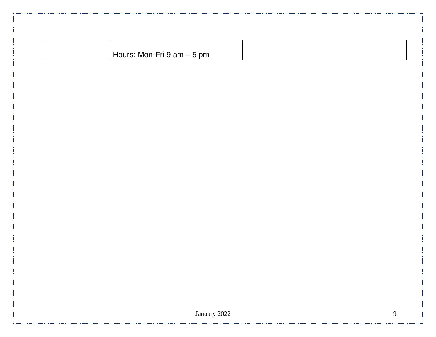| -Fri 9 am – 5 pm<br>Mon-Fr∟<br>$\sim$ |  |
|---------------------------------------|--|
|                                       |  |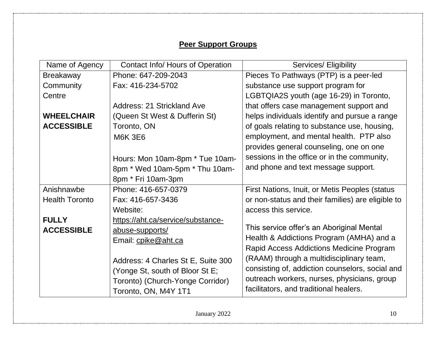## **Peer Support Groups**

| Name of Agency        | <b>Contact Info/ Hours of Operation</b> | Services/ Eligibility                             |
|-----------------------|-----------------------------------------|---------------------------------------------------|
| <b>Breakaway</b>      | Phone: 647-209-2043                     | Pieces To Pathways (PTP) is a peer-led            |
| Community             | Fax: 416-234-5702                       | substance use support program for                 |
| Centre                |                                         | LGBTQIA2S youth (age 16-29) in Toronto,           |
|                       | Address: 21 Strickland Ave              | that offers case management support and           |
| <b>WHEELCHAIR</b>     | (Queen St West & Dufferin St)           | helps individuals identify and pursue a range     |
| <b>ACCESSIBLE</b>     | Toronto, ON                             | of goals relating to substance use, housing,      |
|                       | <b>M6K 3E6</b>                          | employment, and mental health. PTP also           |
|                       |                                         | provides general counseling, one on one           |
|                       | Hours: Mon 10am-8pm * Tue 10am-         | sessions in the office or in the community,       |
|                       | 8pm * Wed 10am-5pm * Thu 10am-          | and phone and text message support.               |
|                       | 8pm * Fri 10am-3pm                      |                                                   |
| Anishnawbe            | Phone: 416-657-0379                     | First Nations, Inuit, or Metis Peoples (status    |
| <b>Health Toronto</b> | Fax: 416-657-3436                       | or non-status and their families) are eligible to |
|                       | Website:                                | access this service.                              |
| <b>FULLY</b>          | https://aht.ca/service/substance-       |                                                   |
| <b>ACCESSIBLE</b>     | abuse-supports/                         | This service offer's an Aboriginal Mental         |
|                       | Email: cpike@aht.ca                     | Health & Addictions Program (AMHA) and a          |
|                       |                                         | Rapid Access Addictions Medicine Program          |
|                       | Address: 4 Charles St E, Suite 300      | (RAAM) through a multidisciplinary team,          |
|                       | (Yonge St, south of Bloor St E;         | consisting of, addiction counselors, social and   |
|                       | Toronto) (Church-Yonge Corridor)        | outreach workers, nurses, physicians, group       |
|                       | Toronto, ON, M4Y 1T1                    | facilitators, and traditional healers.            |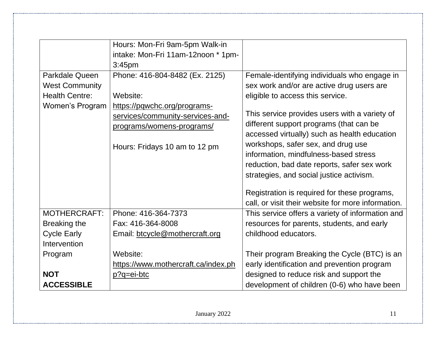|                       | Hours: Mon-Fri 9am-5pm Walk-in      |                                                    |
|-----------------------|-------------------------------------|----------------------------------------------------|
|                       | intake: Mon-Fri 11am-12noon * 1pm-  |                                                    |
|                       | 3:45 <sub>pm</sub>                  |                                                    |
| Parkdale Queen        | Phone: 416-804-8482 (Ex. 2125)      | Female-identifying individuals who engage in       |
| <b>West Community</b> |                                     | sex work and/or are active drug users are          |
| <b>Health Centre:</b> | Website:                            | eligible to access this service.                   |
| Women's Program       | https://pqwchc.org/programs-        |                                                    |
|                       | services/community-services-and-    | This service provides users with a variety of      |
|                       | programs/womens-programs/           | different support programs (that can be            |
|                       |                                     | accessed virtually) such as health education       |
|                       | Hours: Fridays 10 am to 12 pm       | workshops, safer sex, and drug use                 |
|                       |                                     | information, mindfulness-based stress              |
|                       |                                     | reduction, bad date reports, safer sex work        |
|                       |                                     | strategies, and social justice activism.           |
|                       |                                     | Registration is required for these programs,       |
|                       |                                     | call, or visit their website for more information. |
| <b>MOTHERCRAFT:</b>   | Phone: 416-364-7373                 | This service offers a variety of information and   |
| Breaking the          | Fax: 416-364-8008                   | resources for parents, students, and early         |
| <b>Cycle Early</b>    | Email: btcycle@mothercraft.org      | childhood educators.                               |
| Intervention          |                                     |                                                    |
| Program               | Website:                            | Their program Breaking the Cycle (BTC) is an       |
|                       | https://www.mothercraft.ca/index.ph | early identification and prevention program        |
| <b>NOT</b>            | p?q=ei-btc                          | designed to reduce risk and support the            |
| <b>ACCESSIBLE</b>     |                                     | development of children (0-6) who have been        |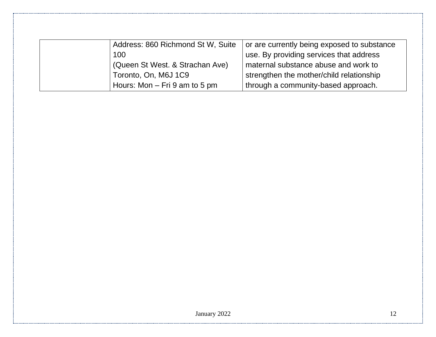| Address: 860 Richmond St W, Suite | or are currently being exposed to substance |
|-----------------------------------|---------------------------------------------|
| 100                               | use. By providing services that address     |
| (Queen St West. & Strachan Ave)   | maternal substance abuse and work to        |
| Toronto, On, M6J 1C9              | strengthen the mother/child relationship    |
| Hours: Mon $-$ Fri 9 am to 5 pm   | through a community-based approach.         |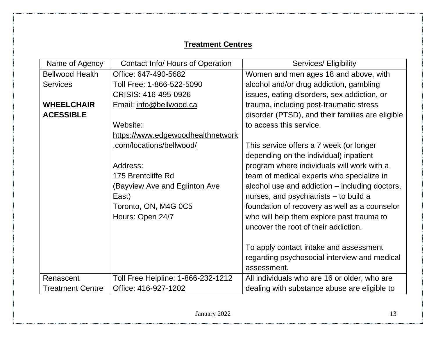# **Treatment Centres**

| Name of Agency          | <b>Contact Info/ Hours of Operation</b> | Services/ Eligibility                            |
|-------------------------|-----------------------------------------|--------------------------------------------------|
| <b>Bellwood Health</b>  | Office: 647-490-5682                    | Women and men ages 18 and above, with            |
| <b>Services</b>         | Toll Free: 1-866-522-5090               | alcohol and/or drug addiction, gambling          |
|                         | CRISIS: 416-495-0926                    | issues, eating disorders, sex addiction, or      |
| <b>WHEELCHAIR</b>       | Email: info@bellwood.ca                 | trauma, including post-traumatic stress          |
| <b>ACESSIBLE</b>        |                                         | disorder (PTSD), and their families are eligible |
|                         | Website:                                | to access this service.                          |
|                         | https://www.edgewoodhealthnetwork       |                                                  |
|                         | .com/locations/bellwood/                | This service offers a 7 week (or longer          |
|                         |                                         | depending on the individual) inpatient           |
|                         | Address:                                | program where individuals will work with a       |
|                         | 175 Brentcliffe Rd                      | team of medical experts who specialize in        |
|                         | (Bayview Ave and Eglinton Ave           | alcohol use and addiction – including doctors,   |
|                         | East)                                   | nurses, and psychiatrists - to build a           |
|                         | Toronto, ON, M4G 0C5                    | foundation of recovery as well as a counselor    |
|                         | Hours: Open 24/7                        | who will help them explore past trauma to        |
|                         |                                         | uncover the root of their addiction.             |
|                         |                                         |                                                  |
|                         |                                         | To apply contact intake and assessment           |
|                         |                                         | regarding psychosocial interview and medical     |
|                         |                                         | assessment.                                      |
| Renascent               | Toll Free Helpline: 1-866-232-1212      | All individuals who are 16 or older, who are     |
| <b>Treatment Centre</b> | Office: 416-927-1202                    | dealing with substance abuse are eligible to     |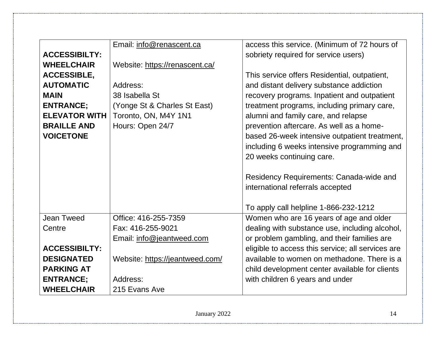|                      | Email: info@renascent.ca        | access this service. (Minimum of 72 hours of      |
|----------------------|---------------------------------|---------------------------------------------------|
| <b>ACCESSIBILTY:</b> |                                 | sobriety required for service users)              |
| <b>WHEELCHAIR</b>    | Website: https://renascent.ca/  |                                                   |
| <b>ACCESSIBLE,</b>   |                                 | This service offers Residential, outpatient,      |
| <b>AUTOMATIC</b>     | Address:                        | and distant delivery substance addiction          |
| <b>MAIN</b>          | 38 Isabella St                  | recovery programs. Inpatient and outpatient       |
| <b>ENTRANCE;</b>     | (Yonge St & Charles St East)    | treatment programs, including primary care,       |
| <b>ELEVATOR WITH</b> | Toronto, ON, M4Y 1N1            | alumni and family care, and relapse               |
| <b>BRAILLE AND</b>   | Hours: Open 24/7                | prevention aftercare. As well as a home-          |
| <b>VOICETONE</b>     |                                 | based 26-week intensive outpatient treatment,     |
|                      |                                 | including 6 weeks intensive programming and       |
|                      |                                 | 20 weeks continuing care.                         |
|                      |                                 |                                                   |
|                      |                                 | Residency Requirements: Canada-wide and           |
|                      |                                 | international referrals accepted                  |
|                      |                                 |                                                   |
|                      |                                 | To apply call helpline 1-866-232-1212             |
| <b>Jean Tweed</b>    | Office: 416-255-7359            | Women who are 16 years of age and older           |
| Centre               | Fax: 416-255-9021               | dealing with substance use, including alcohol,    |
|                      | Email: info@jeantweed.com       | or problem gambling, and their families are       |
| <b>ACCESSIBILTY:</b> |                                 | eligible to access this service; all services are |
| <b>DESIGNATED</b>    | Website: https://jeantweed.com/ | available to women on methadone. There is a       |
| <b>PARKING AT</b>    |                                 | child development center available for clients    |
| <b>ENTRANCE;</b>     | Address:                        | with children 6 years and under                   |
| <b>WHEELCHAIR</b>    | 215 Evans Ave                   |                                                   |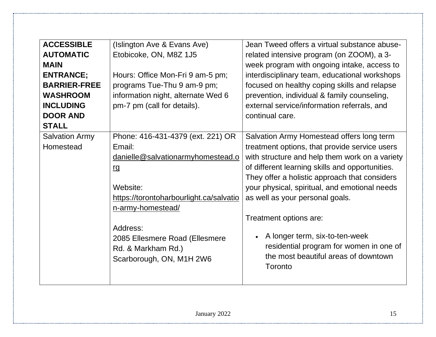| <b>ACCESSIBLE</b>     | (Islington Ave & Evans Ave)             | Jean Tweed offers a virtual substance abuse-    |
|-----------------------|-----------------------------------------|-------------------------------------------------|
| <b>AUTOMATIC</b>      | Etobicoke, ON, M8Z 1J5                  | related intensive program (on ZOOM), a 3-       |
| <b>MAIN</b>           |                                         | week program with ongoing intake, access to     |
| <b>ENTRANCE;</b>      | Hours: Office Mon-Fri 9 am-5 pm;        | interdisciplinary team, educational workshops   |
| <b>BARRIER-FREE</b>   | programs Tue-Thu 9 am-9 pm;             | focused on healthy coping skills and relapse    |
| <b>WASHROOM</b>       | information night, alternate Wed 6      | prevention, individual & family counseling,     |
| <b>INCLUDING</b>      | pm-7 pm (call for details).             | external service/information referrals, and     |
| <b>DOOR AND</b>       |                                         | continual care.                                 |
| <b>STALL</b>          |                                         |                                                 |
| <b>Salvation Army</b> | Phone: 416-431-4379 (ext. 221) OR       | Salvation Army Homestead offers long term       |
| Homestead             | Email:                                  | treatment options, that provide service users   |
|                       | danielle@salvationarmyhomestead.o       | with structure and help them work on a variety  |
|                       | <u>rg</u>                               | of different learning skills and opportunities. |
|                       |                                         | They offer a holistic approach that considers   |
|                       | Website:                                | your physical, spiritual, and emotional needs   |
|                       | https://torontoharbourlight.ca/salvatio | as well as your personal goals.                 |
|                       | n-army-homestead/                       |                                                 |
|                       |                                         | Treatment options are:                          |
|                       | Address:                                |                                                 |
|                       | 2085 Ellesmere Road (Ellesmere          | A longer term, six-to-ten-week                  |
|                       | Rd. & Markham Rd.)                      | residential program for women in one of         |
|                       | Scarborough, ON, M1H 2W6                | the most beautiful areas of downtown            |
|                       |                                         | Toronto                                         |
|                       |                                         |                                                 |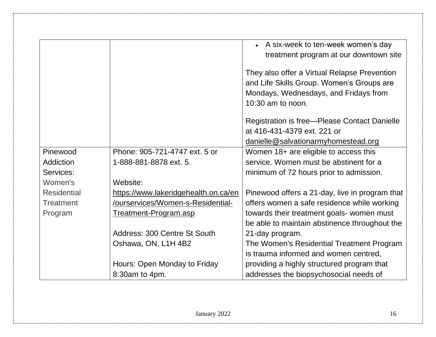|                    |                                      | • A six-week to ten-week women's day           |
|--------------------|--------------------------------------|------------------------------------------------|
|                    |                                      | treatment program at our downtown site         |
|                    |                                      |                                                |
|                    |                                      | They also offer a Virtual Relapse Prevention   |
|                    |                                      | and Life Skills Group. Women's Groups are      |
|                    |                                      | Mondays, Wednesdays, and Fridays from          |
|                    |                                      | $10:30$ am to noon.                            |
|                    |                                      | Registration is free-Please Contact Danielle   |
|                    |                                      | at 416-431-4379 ext. 221 or                    |
|                    |                                      | danielle@salvationarmyhomestead.org            |
| Pinewood           | Phone: 905-721-4747 ext. 5 or        | Women 18+ are eligible to access this          |
| Addiction          | 1-888-881-8878 ext. 5.               | service. Women must be abstinent for a         |
| Services:          |                                      | minimum of 72 hours prior to admission.        |
| Women's            | Website:                             |                                                |
| <b>Residential</b> | https://www.lakeridgehealth.on.ca/en | Pinewood offers a 21-day, live in program that |
| <b>Treatment</b>   | /ourservices/Women-s-Residential-    | offers women a safe residence while working    |
| Program            | <u>Treatment-Program.asp</u>         | towards their treatment goals- women must      |
|                    |                                      | be able to maintain abstinence throughout the  |
|                    | Address: 300 Centre St South         | 21-day program.                                |
|                    | Oshawa, ON, L1H 4B2                  | The Women's Residential Treatment Program      |
|                    |                                      | is trauma informed and women centred,          |
|                    | Hours: Open Monday to Friday         | providing a highly structured program that     |
|                    | 8:30am to 4pm.                       | addresses the biopsychosocial needs of         |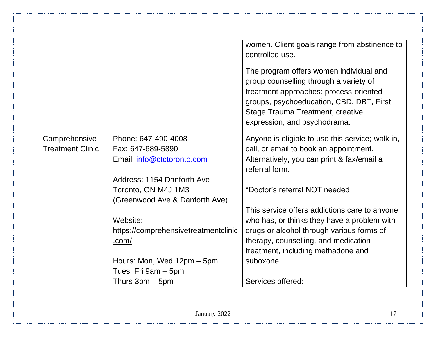|                         |                                      | women. Client goals range from abstinence to<br>controlled use.<br>The program offers women individual and<br>group counselling through a variety of<br>treatment approaches: process-oriented<br>groups, psychoeducation, CBD, DBT, First<br><b>Stage Trauma Treatment, creative</b><br>expression, and psychodrama. |
|-------------------------|--------------------------------------|-----------------------------------------------------------------------------------------------------------------------------------------------------------------------------------------------------------------------------------------------------------------------------------------------------------------------|
| Comprehensive           | Phone: 647-490-4008                  | Anyone is eligible to use this service; walk in,                                                                                                                                                                                                                                                                      |
| <b>Treatment Clinic</b> | Fax: 647-689-5890                    | call, or email to book an appointment.                                                                                                                                                                                                                                                                                |
|                         | Email: info@ctctoronto.com           | Alternatively, you can print & fax/email a                                                                                                                                                                                                                                                                            |
|                         |                                      | referral form.                                                                                                                                                                                                                                                                                                        |
|                         | Address: 1154 Danforth Ave           |                                                                                                                                                                                                                                                                                                                       |
|                         | Toronto, ON M4J 1M3                  | *Doctor's referral NOT needed                                                                                                                                                                                                                                                                                         |
|                         | (Greenwood Ave & Danforth Ave)       |                                                                                                                                                                                                                                                                                                                       |
|                         |                                      | This service offers addictions care to anyone                                                                                                                                                                                                                                                                         |
|                         | Website:                             | who has, or thinks they have a problem with                                                                                                                                                                                                                                                                           |
|                         | https://comprehensivetreatmentclinic | drugs or alcohol through various forms of                                                                                                                                                                                                                                                                             |
|                         | .com/                                | therapy, counselling, and medication                                                                                                                                                                                                                                                                                  |
|                         |                                      | treatment, including methadone and                                                                                                                                                                                                                                                                                    |
|                         | Hours: Mon, Wed 12pm – 5pm           | suboxone.                                                                                                                                                                                                                                                                                                             |
|                         | Tues, Fri 9am - 5pm                  |                                                                                                                                                                                                                                                                                                                       |
|                         | Thurs $3$ pm $-5$ pm                 | Services offered:                                                                                                                                                                                                                                                                                                     |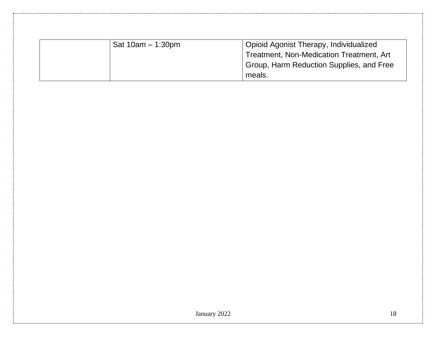| Sat $10am - 1:30pm$ | Opioid Agonist Therapy, Individualized   |
|---------------------|------------------------------------------|
|                     | Treatment, Non-Medication Treatment, Art |
|                     | Group, Harm Reduction Supplies, and Free |
|                     | meals.                                   |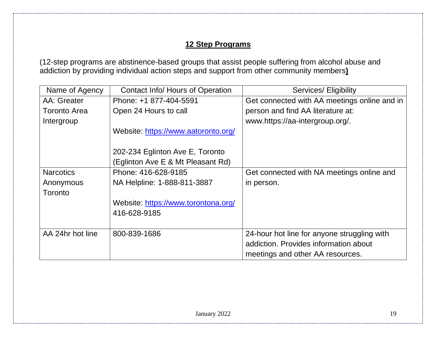### **12 Step Programs**

(12-step programs are abstinence-based groups that assist people suffering from alcohol abuse and addiction by providing individual action steps and support from other community members**)**

| Name of Agency      | Contact Info/ Hours of Operation    | Services/ Eligibility                        |
|---------------------|-------------------------------------|----------------------------------------------|
| AA: Greater         | Phone: +1 877-404-5591              | Get connected with AA meetings online and in |
| <b>Toronto Area</b> | Open 24 Hours to call               | person and find AA literature at:            |
| Intergroup          |                                     | www.https://aa-intergroup.org/.              |
|                     | Website: https://www.aatoronto.org/ |                                              |
|                     |                                     |                                              |
|                     | 202-234 Eglinton Ave E, Toronto     |                                              |
|                     | (Eglinton Ave E & Mt Pleasant Rd)   |                                              |
| <b>Narcotics</b>    | Phone: 416-628-9185                 | Get connected with NA meetings online and    |
| Anonymous           | NA Helpline: 1-888-811-3887         | in person.                                   |
| Toronto             |                                     |                                              |
|                     | Website: https://www.torontona.org/ |                                              |
|                     | 416-628-9185                        |                                              |
|                     |                                     |                                              |
| AA 24hr hot line    | 800-839-1686                        | 24-hour hot line for anyone struggling with  |
|                     |                                     | addiction. Provides information about        |
|                     |                                     | meetings and other AA resources.             |